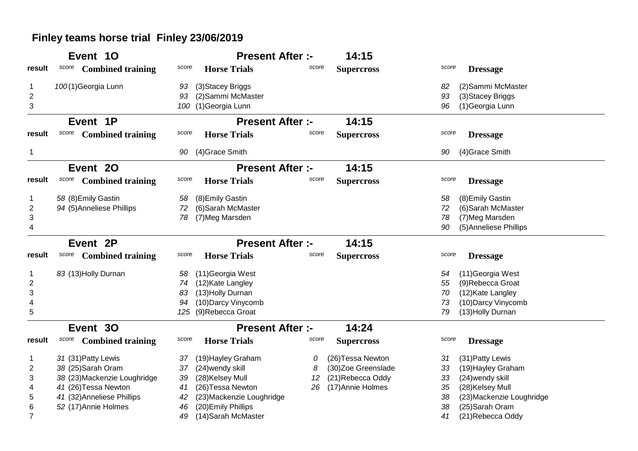## **Finley teams horse trial Finley 23/06/2019**

|                         | Event 10                          | <b>Present After :-</b>         |       | 14:15              |                                 |
|-------------------------|-----------------------------------|---------------------------------|-------|--------------------|---------------------------------|
| result                  | <b>Combined training</b><br>score | <b>Horse Trials</b><br>score    | score | <b>Supercross</b>  | score<br><b>Dressage</b>        |
|                         | 100(1)Georgia Lunn                | (3) Stacey Briggs<br>93         |       |                    | (2) Sammi McMaster<br>82        |
| $\overline{c}$          |                                   | (2) Sammi McMaster<br>93        |       |                    | 93<br>(3) Stacey Briggs         |
| 3                       |                                   | 100 (1)Georgia Lunn             |       |                    | 96<br>(1) Georgia Lunn          |
|                         | Event 1P                          | <b>Present After :-</b>         |       | 14:15              |                                 |
| result                  | score<br><b>Combined training</b> | <b>Horse Trials</b><br>score    | score | <b>Supercross</b>  | score<br><b>Dressage</b>        |
| 1                       |                                   | (4) Grace Smith<br>90           |       |                    | (4) Grace Smith<br>90           |
|                         | Event 20                          | <b>Present After :-</b>         |       | 14:15              |                                 |
| result                  | score<br><b>Combined training</b> | score<br><b>Horse Trials</b>    | score | <b>Supercross</b>  | score<br><b>Dressage</b>        |
|                         | 58 (8) Emily Gastin               | (8) Emily Gastin<br>58          |       |                    | (8) Emily Gastin<br>58          |
| $\overline{2}$          | 94 (5) Anneliese Phillips         | (6) Sarah McMaster<br>72        |       |                    | 72<br>(6) Sarah McMaster        |
| 3                       |                                   | (7) Meg Marsden<br>78           |       |                    | (7) Meg Marsden<br>78           |
| 4                       |                                   |                                 |       |                    | (5) Anneliese Phillips<br>90    |
|                         | Event 2P                          | <b>Present After :-</b>         |       | 14:15              |                                 |
| result                  | <b>Combined training</b><br>score | score<br><b>Horse Trials</b>    | score | <b>Supercross</b>  | score<br><b>Dressage</b>        |
|                         | 83 (13) Holly Durnan              | (11) Georgia West<br>58         |       |                    | (11) Georgia West<br>54         |
| $\overline{\mathbf{c}}$ |                                   | (12) Kate Langley<br>74         |       |                    | (9) Rebecca Groat<br>55         |
| 3                       |                                   | (13) Holly Durnan<br>83         |       |                    | (12) Kate Langley<br>70         |
| 4                       |                                   | (10) Darcy Vinycomb<br>94       |       |                    | 73<br>(10) Darcy Vinycomb       |
| 5                       |                                   | 125 (9)Rebecca Groat            |       |                    | 79<br>(13) Holly Durnan         |
|                         | Event 30                          | <b>Present After :-</b>         |       | 14:24              |                                 |
| result                  | <b>Combined training</b><br>score | <b>Horse Trials</b><br>score    | score | <b>Supercross</b>  | score<br><b>Dressage</b>        |
|                         | 31 (31) Patty Lewis               | (19) Hayley Graham<br>37        | 0     | (26) Tessa Newton  | (31) Patty Lewis<br>31          |
| 2                       | 38 (25)Sarah Oram                 | (24) wendy skill<br>37          | 8     | (30)Zoe Greenslade | (19) Hayley Graham<br>33        |
| 3                       | 38 (23) Mackenzie Loughridge      | (28) Kelsey Mull<br>39          | 12    | (21) Rebecca Oddy  | (24) wendy skill<br>33          |
| 4                       | 41 (26) Tessa Newton              | (26) Tessa Newton<br>41         | 26    | (17) Annie Holmes  | (28) Kelsey Mull<br>35          |
| 5                       | 41 (32) Anneliese Phillips        | (23) Mackenzie Loughridge<br>42 |       |                    | 38<br>(23) Mackenzie Loughridge |
| 6                       | 52 (17) Annie Holmes              | (20) Emily Phillips<br>46       |       |                    | (25) Sarah Oram<br>38           |
| $\overline{7}$          |                                   | (14) Sarah McMaster<br>49       |       |                    | (21) Rebecca Oddy<br>41         |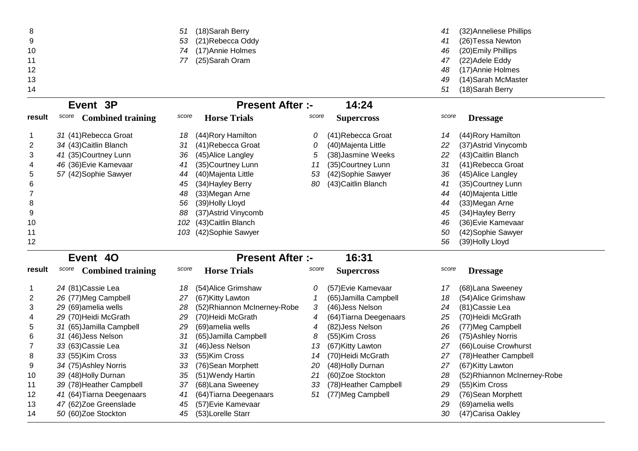| 8              |                                   | 51    | (18)Sarah Berry         |       |                     | 41    | (32) Anneliese Phillips |
|----------------|-----------------------------------|-------|-------------------------|-------|---------------------|-------|-------------------------|
| 9              |                                   | 53    | (21) Rebecca Oddy       |       |                     | 41    | (26) Tessa Newton       |
| 10             |                                   | 74    | (17) Annie Holmes       |       |                     | 46    | (20) Emily Phillips     |
| 11             |                                   | 77    | (25)Sarah Oram          |       |                     | 47    | (22) Adele Eddy         |
| 12             |                                   |       |                         |       |                     | 48    | (17) Annie Holmes       |
| 13             |                                   |       |                         |       |                     | 49    | (14) Sarah McMaster     |
| 14             |                                   |       |                         |       |                     | 51    | (18) Sarah Berry        |
|                | Event 3P                          |       | <b>Present After :-</b> |       | 14:24               |       |                         |
| result         | score<br><b>Combined training</b> | score | <b>Horse Trials</b>     | score | <b>Supercross</b>   | score | <b>Dressage</b>         |
|                | 31 (41) Rebecca Groat             | 18    | (44) Rory Hamilton      | 0     | (41) Rebecca Groat  | 14    | (44) Rory Hamilton      |
| $\overline{2}$ | 34 (43) Caitlin Blanch            | 31    | (41) Rebecca Groat      | 0     | (40) Majenta Little | 22    | (37) Astrid Vinycomb    |
| 3              | 41 (35) Courtney Lunn             | 36    | (45) Alice Langley      | 5     | (38)Jasmine Weeks   | 22    | (43) Caitlin Blanch     |
| 4              | 46 (36) Evie Kamevaar             | 41    | (35)Courtney Lunn       | 11    | (35)Courtney Lunn   | 31    | (41) Rebecca Groat      |
| 5              | 57 (42) Sophie Sawyer             | 44    | (40)Majenta Little      | 53    | (42) Sophie Sawyer  | 36    | (45) Alice Langley      |
| 6              |                                   | 45    | (34) Hayley Berry       | 80    | (43) Caitlin Blanch | 41    | (35) Courtney Lunn      |
| 7              |                                   | 48    | (33)Megan Arne          |       |                     | 44    | (40) Majenta Little     |
| 8              |                                   | 56    | (39)Holly Lloyd         |       |                     | 44    | (33) Megan Arne         |
| 9              |                                   | 88    | (37) Astrid Vinycomb    |       |                     | 45    | (34) Hayley Berry       |

0 1*0*2 (43)Caitlin Blanch 46 (36)Evie Kamevaar 103 (42)Sophie Sawyer 50 (42)Sophie Sawyer 50 (42)Sophie Sawyer

10

11

12

## <sup>56</sup> (39)Holly Lloyd **Present After :- 16:31**

|        | Event 40                          |       | <b>Present After :-</b>      |       | 16:31                  |       |                              |
|--------|-----------------------------------|-------|------------------------------|-------|------------------------|-------|------------------------------|
| result | score<br><b>Combined training</b> | score | <b>Horse Trials</b>          | score | <b>Supercross</b>      | score | <b>Dressage</b>              |
|        | 24 (81) Cassie Lea                | 18    | (54) Alice Grimshaw          | 0     | (57) Evie Kamevaar     | 17    | (68) Lana Sweeney            |
|        | 26 (77)Meg Campbell               | 27    | (67) Kitty Lawton            |       | (65) Jamilla Campbell  | 18    | (54) Alice Grimshaw          |
| 3      | 29 (69) amelia wells              | 28    | (52) Rhiannon McInerney-Robe | 3     | (46) Jess Nelson       | 24    | (81) Cassie Lea              |
| 4      | 29 (70) Heidi McGrath             | 29    | (70) Heidi McGrath           | 4     | (64) Tiarna Deegenaars | 25    | (70) Heidi McGrath           |
| 5      | 31 (65) Jamilla Campbell          | 29    | (69) amelia wells            | 4     | (82) Jess Nelson       | 26    | (77) Meg Campbell            |
| 6      | 31 (46) Jess Nelson               | 31    | (65) Jamilla Campbell        | 8     | (55)Kim Cross          | 26    | (75) Ashley Norris           |
|        | 33 (63) Cassie Lea                | 31    | (46) Jess Nelson             | 13    | (67) Kitty Lawton      | 27    | (66) Louise Crowhurst        |
| 8      | 33 (55)Kim Cross                  | 33    | (55)Kim Cross                | 14    | (70) Heidi McGrath     | 27    | (78) Heather Campbell        |
| 9      | 34 (75) Ashley Norris             | 33    | (76) Sean Morphett           | 20    | (48) Holly Durnan      | 27    | (67) Kitty Lawton            |
| 10     | 39 (48) Holly Durnan              | 35    | (51) Wendy Hartin            | 21    | (60)Zoe Stockton       | 28    | (52) Rhiannon McInerney-Robe |
| 11     | 39 (78) Heather Campbell          | 37    | (68) Lana Sweeney            | 33    | (78) Heather Campbell  | 29    | (55)Kim Cross                |
| 12     | 41 (64) Tiarna Deegenaars         | 41    | (64) Tiarna Deegenaars       | 51    | (77) Meg Campbell      | 29    | (76) Sean Morphett           |
| 13     | 47 (62) Zoe Greenslade            | 45    | (57) Evie Kamevaar           |       |                        | 29    | (69) amelia wells            |
| 14     | 50 (60)Zoe Stockton               | 45    | (53)Lorelle Starr            |       |                        | 30    | (47) Carisa Oakley           |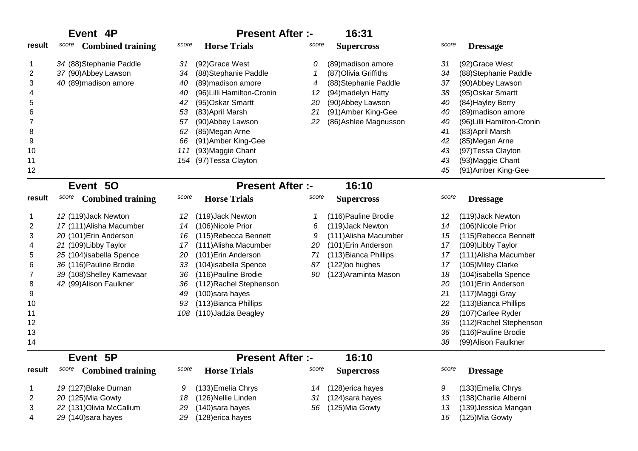|                                                                    | Event 4P                                                                                                                                                                                                          | <b>Present After :-</b>                                                                                                                                                                                                                                                                                                             | 16:31                                                                                                                                                                                             |                                                                                                                                                                                                                                                                                                                                                                                                                        |
|--------------------------------------------------------------------|-------------------------------------------------------------------------------------------------------------------------------------------------------------------------------------------------------------------|-------------------------------------------------------------------------------------------------------------------------------------------------------------------------------------------------------------------------------------------------------------------------------------------------------------------------------------|---------------------------------------------------------------------------------------------------------------------------------------------------------------------------------------------------|------------------------------------------------------------------------------------------------------------------------------------------------------------------------------------------------------------------------------------------------------------------------------------------------------------------------------------------------------------------------------------------------------------------------|
| result                                                             | score<br><b>Combined training</b>                                                                                                                                                                                 | <b>Horse Trials</b><br>score                                                                                                                                                                                                                                                                                                        | score<br><b>Supercross</b>                                                                                                                                                                        | score<br><b>Dressage</b>                                                                                                                                                                                                                                                                                                                                                                                               |
| 2<br>3<br>4<br>5<br>6<br>8<br>9<br>10<br>11<br>12                  | 34 (88) Stephanie Paddle<br>37 (90) Abbey Lawson<br>40 (89) madison amore                                                                                                                                         | (92) Grace West<br>31<br>(88) Stephanie Paddle<br>34<br>(89) madison amore<br>40<br>(96) Lilli Hamilton-Cronin<br>40<br>(95) Oskar Smartt<br>42<br>(83) April Marsh<br>53<br>(90) Abbey Lawson<br>57<br>(85) Megan Arne<br>62<br>(91) Amber King-Gee<br>66<br>(93) Maggie Chant<br>111<br>(97) Tessa Clayton<br>154                 | (89) madison amore<br>0<br>(87) Olivia Griffiths<br>(88) Stephanie Paddle<br>4<br>(94) madelyn Hatty<br>12<br>(90) Abbey Lawson<br>20<br>(91) Amber King-Gee<br>21<br>22<br>(86) Ashlee Magnusson | (92) Grace West<br>31<br>(88) Stephanie Paddle<br>34<br>(90) Abbey Lawson<br>37<br>(95) Oskar Smartt<br>38<br>(84) Hayley Berry<br>40<br>(89) madison amore<br>40<br>(96) Lilli Hamilton-Cronin<br>40<br>(83) April Marsh<br>41<br>(85) Megan Arne<br>42<br>(97) Tessa Clayton<br>43<br>(93) Maggie Chant<br>43<br>(91) Amber King-Gee<br>45                                                                           |
|                                                                    | Event 50                                                                                                                                                                                                          | <b>Present After :-</b>                                                                                                                                                                                                                                                                                                             | 16:10                                                                                                                                                                                             |                                                                                                                                                                                                                                                                                                                                                                                                                        |
| result                                                             | score<br><b>Combined training</b>                                                                                                                                                                                 | score<br><b>Horse Trials</b>                                                                                                                                                                                                                                                                                                        | score<br><b>Supercross</b>                                                                                                                                                                        | score<br><b>Dressage</b>                                                                                                                                                                                                                                                                                                                                                                                               |
| 1<br>2<br>3<br>4<br>5<br>6<br>8<br>9<br>10<br>11<br>12<br>13<br>14 | 12 (119) Jack Newton<br>17 (111) Alisha Macumber<br>20 (101) Erin Anderson<br>21 (109) Libby Taylor<br>25 (104) isabella Spence<br>36 (116) Pauline Brodie<br>39 (108)Shelley Kamevaar<br>42 (99) Alison Faulkner | (119) Jack Newton<br>12<br>(106) Nicole Prior<br>14<br>(115)Rebecca Bennett<br>16<br>(111) Alisha Macumber<br>17<br>(101) Erin Anderson<br>20<br>(104) isabella Spence<br>33<br>(116) Pauline Brodie<br>36<br>36<br>(112) Rachel Stephenson<br>(100) sara hayes<br>49<br>93<br>(113) Bianca Phillips<br>(110) Jadzia Beagley<br>108 | (116) Pauline Brodie<br>(119) Jack Newton<br>6<br>(111) Alisha Macumber<br>9<br>(101) Erin Anderson<br>20<br>(113) Bianca Phillips<br>71<br>(122)bo hughes<br>87<br>(123) Araminta Mason<br>90    | (119) Jack Newton<br>12<br>(106) Nicole Prior<br>14<br>(115)Rebecca Bennett<br>15<br>(109) Libby Taylor<br>17<br>(111) Alisha Macumber<br>17<br>(105) Miley Clarke<br>17<br>(104) isabella Spence<br>18<br>(101) Erin Anderson<br>20<br>(117) Maggi Gray<br>21<br>(113) Bianca Phillips<br>22<br>28<br>(107) Carlee Ryder<br>(112) Rachel Stephenson<br>36<br>(116) Pauline Brodie<br>36<br>38<br>(99) Alison Faulkner |
|                                                                    | Event 5P                                                                                                                                                                                                          | <b>Present After :-</b>                                                                                                                                                                                                                                                                                                             | 16:10                                                                                                                                                                                             |                                                                                                                                                                                                                                                                                                                                                                                                                        |
| result                                                             | score<br><b>Combined training</b>                                                                                                                                                                                 | score<br><b>Horse Trials</b>                                                                                                                                                                                                                                                                                                        | score<br><b>Supercross</b>                                                                                                                                                                        | score<br><b>Dressage</b>                                                                                                                                                                                                                                                                                                                                                                                               |
| 2<br>3<br>4                                                        | 19 (127) Blake Durnan<br>20 (125) Mia Gowty<br>22 (131) Olivia McCallum<br>29 (140) sara hayes                                                                                                                    | (133) Emelia Chrys<br>9<br>(126) Nellie Linden<br>18<br>29<br>(140) sara hayes<br>(128) erica hayes<br>29                                                                                                                                                                                                                           | (128) erica hayes<br>14<br>(124) sara hayes<br>31<br>(125) Mia Gowty<br>56                                                                                                                        | 9<br>(133) Emelia Chrys<br>(138) Charlie Alberni<br>13<br>(139) Jessica Mangan<br>13<br>(125) Mia Gowty<br>16                                                                                                                                                                                                                                                                                                          |